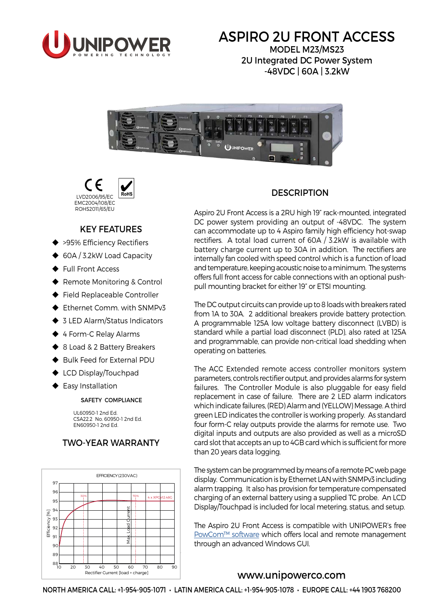

# ASPIRO 2U FRONT ACCESS

MODEL M23/MS23 2U Integrated DC Power System -48VDC | 60A | 3.2kW





## KEY FEATURES

- ◆ >95% Efficiency Rectifiers
- ◆ 60A / 3.2kW Load Capacity
- **Eull Front Access**
- ◆ Remote Monitoring & Control
- ◆ Field Replaceable Controller
- ◆ Ethernet Comm. with SNMPv3
- ◆ 3 LED Alarm/Status Indicators
- ◆ 4 Form-C Relay Alarms
- ◆ 8 Load & 2 Battery Breakers
- ◆ Bulk Feed for External PDU
- ◆ LCD Display/Touchpad
- ◆ Easy Installation

#### SAFETY COMPLIANCE

UL60950-1 2nd Ed. CSA22.2 No. 60950-1 2nd Ed. EN60950-1 2nd Ed.

# TWO-YEAR WARRANTY



# **DESCRIPTION**

Aspiro 2U Front Access is a 2RU high 19" rack-mounted, integrated DC power system providing an output of -48VDC. The system can accommodate up to 4 Aspiro family high efficiency hot-swap rectifiers. A total load current of 60A / 3.2kW is available with battery charge current up to 30A in addition. The rectifiers are internally fan cooled with speed control which is a function of load and temperature, keeping acoustic noise to a minimum. The systems offers full front access for cable connections with an optional pushpull mounting bracket for either 19" or ETSI mounting.

The DC output circuits can provide up to 8 loads with breakers rated from 1A to 30A. 2 additional breakers provide battery protection. A programmable 125A low voltage battery disconnect (LVBD) is standard while a partial load disconnect (PLD), also rated at 125A and programmable, can provide non-critical load shedding when operating on batteries.

The ACC Extended remote access controller monitors system parameters, controls rectifier output, and provides alarms for system failures. The Controller Module is also pluggable for easy field replacement in case of failure. There are 2 LED alarm indicators which indicate failures, (RED) Alarm and (YELLOW) Message. A third green LED indicates the controller is working properly. As standard four form-C relay outputs provide the alarms for remote use. Two digital inputs and outputs are also provided as well as a microSD card slot that accepts an up to 4GB card which is sufficient for more than 20 years data logging.

The system can be programmed by means of a remote PC web page display. Communication is by Ethernet LAN with SNMPv3 including alarm trapping. It also has provision for temperature compensated charging of an external battery using a supplied TC probe. An LCD Display/Touchpad is included for local metering, status, and setup.

The Aspiro 2U Front Access is compatible with UNIPOWER's free [PowCom™ software](http://www.unipowerco.com/pdf/powcom-ds.pdf) which offers local and remote management through an advanced Windows GUI.

## [www.unipowerco.com](http://www.unipowerco.com)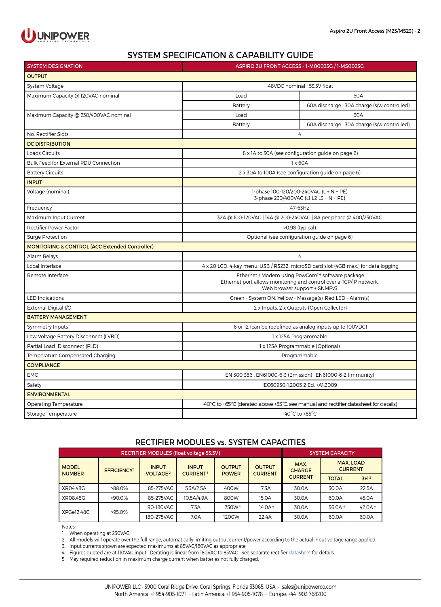

## SYSTEM SPECIFICATION & CAPABILITY GUIDE

| <b>SYSTEM DESIGNATION</b>                      | ASPIRO 2U FRONT ACCESS - 1-M00023G / 1-MS0023G                                                                                                        |                                             |  |  |  |  |
|------------------------------------------------|-------------------------------------------------------------------------------------------------------------------------------------------------------|---------------------------------------------|--|--|--|--|
| <b>OUTPUT</b>                                  |                                                                                                                                                       |                                             |  |  |  |  |
| System Voltage                                 | -48VDC nominal   53.5V float                                                                                                                          |                                             |  |  |  |  |
| Maximum Capacity @ 120VAC nominal              | Load                                                                                                                                                  | 60A                                         |  |  |  |  |
|                                                | Battery                                                                                                                                               | 60A discharge   30A charge (s/w controlled) |  |  |  |  |
| Maximum Capacity @ 230/400VAC nominal          | Load                                                                                                                                                  | 60A                                         |  |  |  |  |
|                                                | Battery                                                                                                                                               | 60A discharge   30A charge (s/w controlled) |  |  |  |  |
| No. Rectifier Slots                            | 4                                                                                                                                                     |                                             |  |  |  |  |
| <b>DC DISTRIBUTION</b>                         |                                                                                                                                                       |                                             |  |  |  |  |
| Loads Circuits                                 | 8 x 1A to 30A (see configuration guide on page 6)                                                                                                     |                                             |  |  |  |  |
| Bulk Feed for External PDU Connection          | 1 x 60A                                                                                                                                               |                                             |  |  |  |  |
| <b>Battery Circuits</b>                        | 2 x 30A to 100A (see configuration guide on page 6)                                                                                                   |                                             |  |  |  |  |
| <b>INPUT</b>                                   |                                                                                                                                                       |                                             |  |  |  |  |
| Voltage (nominal)                              | 1-phase 100-120/200-240VAC (L + N + PE)<br>3-phase 230/400VAC (L1 L2 L3 + N + PE)                                                                     |                                             |  |  |  |  |
| Frequency                                      | 47-63Hz                                                                                                                                               |                                             |  |  |  |  |
| Maximum Input Current                          | 32A @ 100-120VAC   14A @ 200-240VAC   8A per phase @ 400/230VAC                                                                                       |                                             |  |  |  |  |
| <b>Rectifier Power Factor</b>                  | >0.98 (typical)                                                                                                                                       |                                             |  |  |  |  |
| <b>Surge Protection</b>                        | Optional (see configuration guide on page 6)                                                                                                          |                                             |  |  |  |  |
| MONITORING & CONTROL (ACC Extended Controller) |                                                                                                                                                       |                                             |  |  |  |  |
| Alarm Relays                                   | 4                                                                                                                                                     |                                             |  |  |  |  |
| Local Interface                                | 4 x 20 LCD, 4-key menu, USB / RS232, microSD card slot (4GB max,) for data logging                                                                    |                                             |  |  |  |  |
| Remote Interface                               | Ethernet / Modem using PowCom™ software package<br>Ethernet port allows monitoring and control over a TCP/IP network.<br>Web browser support + SNMPv3 |                                             |  |  |  |  |
| <b>LED Indications</b>                         | Green - System ON; Yellow - Message(s); Red LED - Alarm(s)                                                                                            |                                             |  |  |  |  |
| External Digital I/O                           | 2 x Inputs, 2 x Outputs (Open Collector)                                                                                                              |                                             |  |  |  |  |
| <b>BATTERY MANAGEMENT</b>                      |                                                                                                                                                       |                                             |  |  |  |  |
| Symmetry Inputs                                | 6 or 12 (can be redefined as analog inputs up to 100VDC)                                                                                              |                                             |  |  |  |  |
| Low Voltage Battery Disconnect (LVBD)          | 1 x 125A Programmable                                                                                                                                 |                                             |  |  |  |  |
| Partial Load Disconnect (PLD)                  | 1 x 125A Programmable (Optional)                                                                                                                      |                                             |  |  |  |  |
| Temperature Compensated Charging               | Programmable                                                                                                                                          |                                             |  |  |  |  |
| <b>COMPLIANCE</b>                              |                                                                                                                                                       |                                             |  |  |  |  |
| <b>EMC</b>                                     | EN 300 386 ; EN61000-6-3 (Emission) ; EN61000-6-2 (Immunity)                                                                                          |                                             |  |  |  |  |
| Safety                                         | IEC60950-1:2005 2 Ed. +A1:2009                                                                                                                        |                                             |  |  |  |  |
| <b>ENVIRONMENTAL</b>                           |                                                                                                                                                       |                                             |  |  |  |  |
| <b>Operating Temperature</b>                   | -40°C to +65°C (derated above +55°C, see manual and rectifier datasheet for details)                                                                  |                                             |  |  |  |  |
| Storage Temperature                            | $-40^{\circ}$ C to $+85^{\circ}$ C                                                                                                                    |                                             |  |  |  |  |

#### RECTIFIER MODULES vs. SYSTEM CAPACITIES

| <b>RECTIFIER MODULES (float voltage 53.5V)</b> |                    |                                            |                                            |                               |                                 | <b>SYSTEM CAPACITY</b>                  |                                    |           |
|------------------------------------------------|--------------------|--------------------------------------------|--------------------------------------------|-------------------------------|---------------------------------|-----------------------------------------|------------------------------------|-----------|
| <b>MODEL</b><br><b>NUMBER</b>                  | <b>EFFICIENCY1</b> | <b>INPUT</b><br><b>VOLTAGE<sup>2</sup></b> | <b>INPUT</b><br><b>CURRENT<sup>3</sup></b> | <b>OUTPUT</b><br><b>POWER</b> | <b>OUTPUT</b><br><b>CURRENT</b> | MAX.<br><b>CHARGE</b><br><b>CURRENT</b> | <b>MAX. LOAD</b><br><b>CURRENT</b> |           |
|                                                |                    |                                            |                                            |                               |                                 |                                         | <b>TOTAL</b>                       | $3+15$    |
| XR04.48G                                       | >88.0%             | 85-275VAC                                  | 5.3A/2.5A                                  | 400W                          | 7.5A                            | 30.0A                                   | 30.0A                              | 22.5A     |
| XR08.48G                                       | $>90.0\%$          | 85-275VAC                                  | 10.5A/4.9A                                 | 800W                          | 15.0A                           | 30.0A                                   | 60.0A                              | 45.0A     |
| XPGe12.48G                                     | $>95.0\%$          | 90-180VAC                                  | 7.3A                                       | 750W <sup>4</sup>             | 14.0A <sup>4</sup>              | 30.0A                                   | 56.0A <sup>4</sup>                 | 42.0A $4$ |
|                                                |                    | 180-275VAC                                 | 7.0A                                       | 1200W                         | 22.4A                           | 30.0A                                   | 60.0A                              | 60.0A     |

Notes:

1. When operating at 230VAC.

2. All models will operate over the full range, automatically limiting output current/power according to the actual input voltage range applied.

3. Input currents shown are expected maximums at 85VAC/180VAC as appropriate.

4. Figures quoted are at 110VAC input. Derating is linear from 180VAC to 85VAC. See separate rectifier <u>datasheet</u> for details.

5. May required reduction in maximum charge current when batteries not fully charged.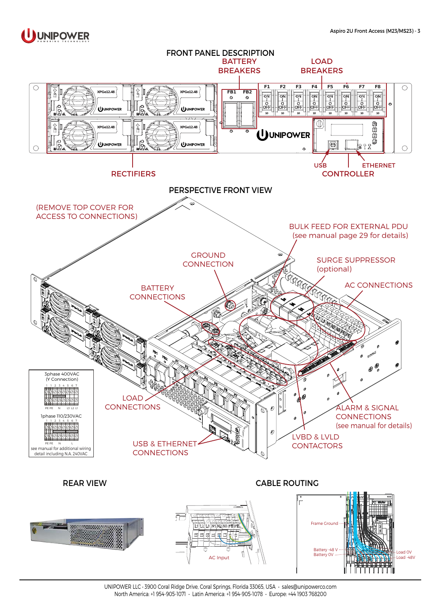



UNIPOWER LLC • 3900 Coral Ridge Drive, Coral Springs, Florida 33065, USA • [sales@unipowerco.com](mailto:sales%40unipowerco.com?subject=Aspiro%202U) North America: +1 954-905-1071 • Latin America: +1 954-905-1078 • Europe: +44 1903 768200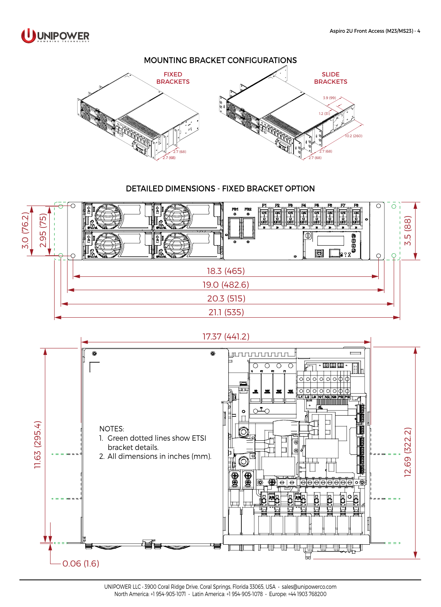



#### DETAILED DIMENSIONS - FIXED BRACKET OPTION



#### 17.37 (441.2)

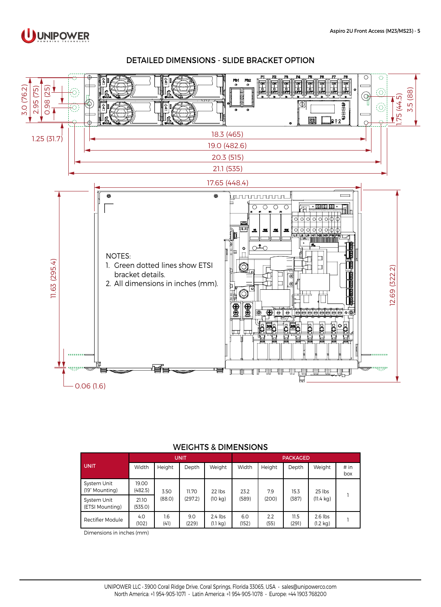



### DETAILED DIMENSIONS - SLIDE BRACKET OPTION



#### WEIGHTS & DIMENSIONS

|                                | <b>UNIT</b>      |             |              |                                 | <b>PACKAGED</b> |             |               |                                 |             |
|--------------------------------|------------------|-------------|--------------|---------------------------------|-----------------|-------------|---------------|---------------------------------|-------------|
| <b>UNIT</b>                    | Width            | Height      | Depth        | Weight                          | Width           | Height      | Depth         | Weight                          | # in<br>box |
| System Unit<br>(19" Mounting)  | 19.00<br>(482.5) | 3.50        | 11.70        | $22$ lbs                        | 23.2            | 7.9         | 15.3          | 25 lbs                          |             |
| System Unit<br>(ETSI Mounting) | 21.10<br>(535.0) | (88.0)      | (297.2)      | $(10 \text{ kg})$               | (589)           | (200)       | (387)         | $(11.4 \text{ kg})$             |             |
| Rectifier Module               | 4.0<br>(102)     | 1.6<br>(41) | 9.0<br>(229) | $2.4$ lbs<br>$(1.1 \text{ kg})$ | 6.0<br>(152)    | 2.2<br>(55) | 11.5<br>(291) | $2.6$ lbs<br>$(1.2 \text{ kg})$ |             |

Dimensions in inches (mm)